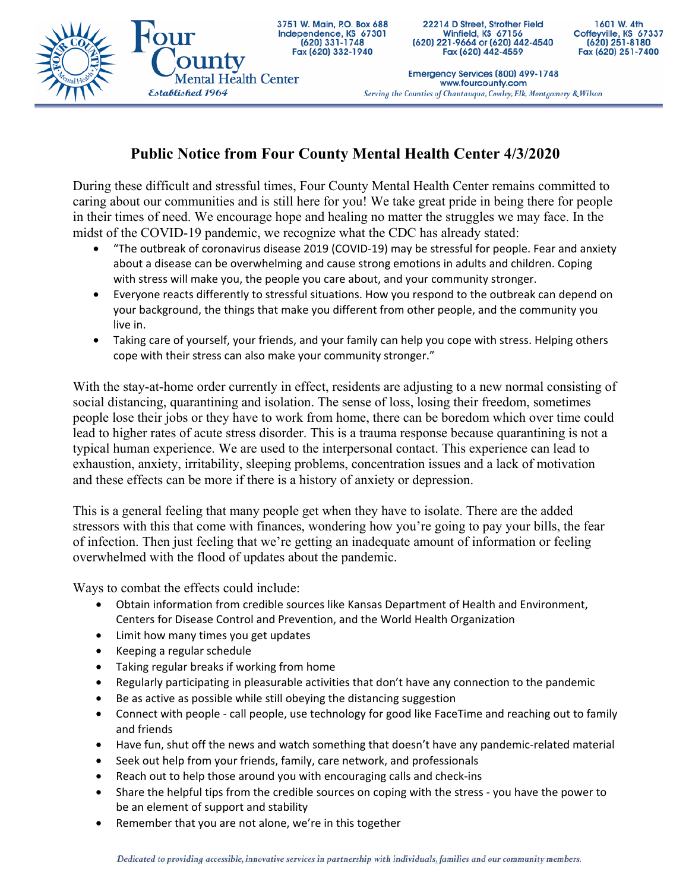

22214 D Street, Strother Field Winfield, KS 67156 (620) 221-9664 or (620) 442-4540 Fax (620) 442-4559

1601 W. 4th Coffeyville, KS 67337  $(620)$  251-8180 Fax (620) 251-7400

Emergency Services (800) 499-1748 www.fourcounty.com Serving the Counties of Chautauqua, Cowley, Elk, Montgomery & Wilson

## **Public Notice from Four County Mental Health Center 4/3/2020**

During these difficult and stressful times, Four County Mental Health Center remains committed to caring about our communities and is still here for you! We take great pride in being there for people in their times of need. We encourage hope and healing no matter the struggles we may face. In the midst of the COVID-19 pandemic, we recognize what the CDC has already stated:

- "The outbreak of coronavirus disease 2019 (COVID-19) may be stressful for people. Fear and anxiety about a disease can be overwhelming and cause strong emotions in adults and children. Coping with stress will make you, the people you care about, and your community stronger.
- Everyone reacts differently to stressful situations. How you respond to the outbreak can depend on your background, the things that make you different from other people, and the community you live in.
- Taking care of yourself, your friends, and your family can help you cope with stress. Helping others cope with their stress can also make your community stronger."

With the stay-at-home order currently in effect, residents are adjusting to a new normal consisting of social distancing, quarantining and isolation. The sense of loss, losing their freedom, sometimes people lose their jobs or they have to work from home, there can be boredom which over time could lead to higher rates of acute stress disorder. This is a trauma response because quarantining is not a typical human experience. We are used to the interpersonal contact. This experience can lead to exhaustion, anxiety, irritability, sleeping problems, concentration issues and a lack of motivation and these effects can be more if there is a history of anxiety or depression.

This is a general feeling that many people get when they have to isolate. There are the added stressors with this that come with finances, wondering how you're going to pay your bills, the fear of infection. Then just feeling that we're getting an inadequate amount of information or feeling overwhelmed with the flood of updates about the pandemic.

Ways to combat the effects could include:

- Obtain information from credible sources like Kansas Department of Health and Environment, Centers for Disease Control and Prevention, and the World Health Organization
- Limit how many times you get updates
- Keeping a regular schedule
- Taking regular breaks if working from home
- Regularly participating in pleasurable activities that don't have any connection to the pandemic
- Be as active as possible while still obeying the distancing suggestion
- Connect with people call people, use technology for good like FaceTime and reaching out to family and friends
- Have fun, shut off the news and watch something that doesn't have any pandemic-related material
- Seek out help from your friends, family, care network, and professionals
- Reach out to help those around you with encouraging calls and check-ins
- Share the helpful tips from the credible sources on coping with the stress you have the power to be an element of support and stability
- Remember that you are not alone, we're in this together